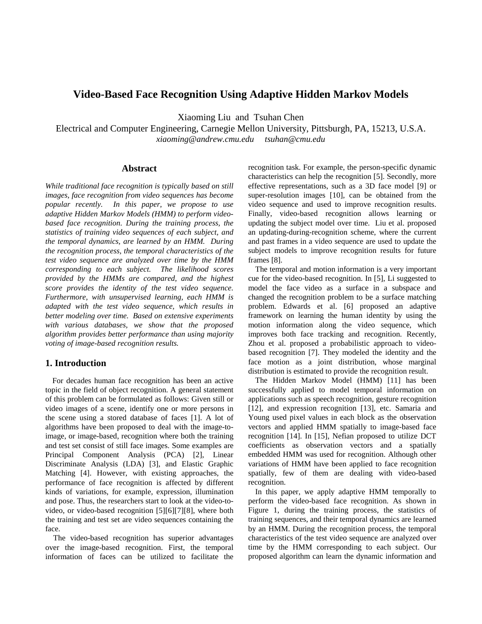# **Video-Based Face Recognition Using Adaptive Hidden Markov Models**

Xiaoming Liu and Tsuhan Chen

Electrical and Computer Engineering, Carnegie Mellon University, Pittsburgh, PA, 15213, U.S.A. *xiaoming@andrew.cmu.edu tsuhan@cmu.edu* 

## **Abstract**

*While traditional face recognition is typically based on still images, face recognition from video sequences has become popular recently. In this paper, we propose to use adaptive Hidden Markov Models (HMM) to perform videobased face recognition. During the training process, the statistics of training video sequences of each subject, and the temporal dynamics, are learned by an HMM. During the recognition process, the temporal characteristics of the test video sequence are analyzed over time by the HMM corresponding to each subject. The likelihood scores provided by the HMMs are compared, and the highest score provides the identity of the test video sequence. Furthermore, with unsupervised learning, each HMM is adapted with the test video sequence, which results in better modeling over time. Based on extensive experiments with various databases, we show that the proposed algorithm provides better performance than using majority voting of image-based recognition results.*

## **1. Introduction**

For decades human face recognition has been an active topic in the field of object recognition. A general statement of this problem can be formulated as follows: Given still or video images of a scene, identify one or more persons in the scene using a stored database of faces [1]. A lot of algorithms have been proposed to deal with the image-toimage, or image-based, recognition where both the training and test set consist of still face images. Some examples are Principal Component Analysis (PCA) [2], Linear Discriminate Analysis (LDA) [3], and Elastic Graphic Matching [4]. However, with existing approaches, the performance of face recognition is affected by different kinds of variations, for example, expression, illumination and pose. Thus, the researchers start to look at the video-tovideo, or video-based recognition [5][6][7][8], where both the training and test set are video sequences containing the face.

 The video-based recognition has superior advantages over the image-based recognition. First, the temporal information of faces can be utilized to facilitate the recognition task. For example, the person-specific dynamic characteristics can help the recognition [5]. Secondly, more effective representations, such as a 3D face model [9] or super-resolution images [10], can be obtained from the video sequence and used to improve recognition results. Finally, video-based recognition allows learning or updating the subject model over time. Liu et al. proposed an updating-during-recognition scheme, where the current and past frames in a video sequence are used to update the subject models to improve recognition results for future frames [8].

The temporal and motion information is a very important cue for the video-based recognition. In [5], Li suggested to model the face video as a surface in a subspace and changed the recognition problem to be a surface matching problem. Edwards et al. [6] proposed an adaptive framework on learning the human identity by using the motion information along the video sequence, which improves both face tracking and recognition. Recently, Zhou et al. proposed a probabilistic approach to videobased recognition [7]. They modeled the identity and the face motion as a joint distribution, whose marginal distribution is estimated to provide the recognition result.

The Hidden Markov Model (HMM) [11] has been successfully applied to model temporal information on applications such as speech recognition, gesture recognition [12], and expression recognition [13], etc. Samaria and Young used pixel values in each block as the observation vectors and applied HMM spatially to image-based face recognition [14]. In [15], Nefian proposed to utilize DCT coefficients as observation vectors and a spatially embedded HMM was used for recognition. Although other variations of HMM have been applied to face recognition spatially, few of them are dealing with video-based recognition.

In this paper, we apply adaptive HMM temporally to perform the video-based face recognition. As shown in Figure 1, during the training process, the statistics of training sequences, and their temporal dynamics are learned by an HMM. During the recognition process, the temporal characteristics of the test video sequence are analyzed over time by the HMM corresponding to each subject. Our proposed algorithm can learn the dynamic information and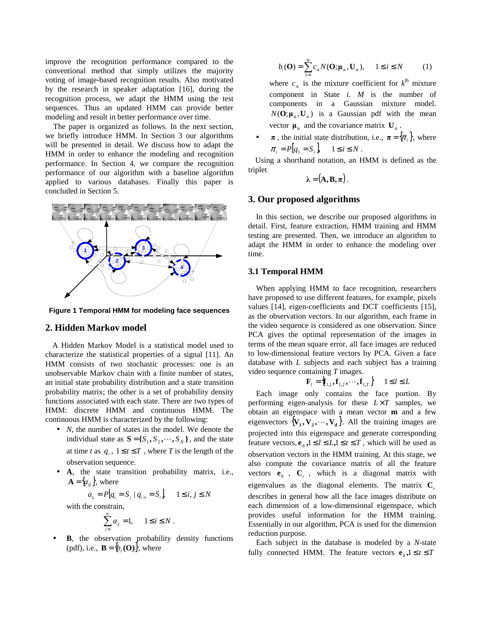improve the recognition performance compared to the conventional method that simply utilizes the majority voting of image-based recognition results. Also motivated by the research in speaker adaptation [16], during the recognition process, we adapt the HMM using the test sequences. Thus an updated HMM can provide better modeling and result in better performance over time.

 The paper is organized as follows. In the next section, we briefly introduce HMM. In Section 3 our algorithms will be presented in detail. We discuss how to adapt the HMM in order to enhance the modeling and recognition performance. In Section 4, we compare the recognition performance of our algorithm with a baseline algorithm applied to various databases. Finally this paper is concluded in Section 5.



**Figure 1 Temporal HMM for modeling face sequences**

#### **2. Hidden Markov model**

A Hidden Markov Model is a statistical model used to characterize the statistical properties of a signal [11]. An HMM consists of two stochastic processes: one is an unobservable Markov chain with a finite number of states, an initial state probability distribution and a state transition probability matrix; the other is a set of probability density functions associated with each state. There are two types of HMM: discrete HMM and continuous HMM. The continuous HMM is characterized by the following:

- *N*, the number of states in the model. We denote the individual state as  $S = \{S_1, S_2, \dots, S_N\}$ , and the state at time *t* as  $q_i$ ,  $1 \le t \le T$ , where *T* is the length of the observation sequence.
- **A**, the state transition probability matrix, i.e.,  $\mathbf{A} = \{a_{ij}\}\text{, where}$

$$
a_{ij} = P\big|q_{i} = S_{j} \mid q_{i-1} = S_{i}\big|, \quad 1 \leq i, j \leq N
$$

with the constrain,

$$
\sum_{j=1}^N a_{ij} = 1, \qquad 1 \le i \le N.
$$

**B**, the observation probability density functions (pdf), i.e.,  $\mathbf{B} = \{b_i(\mathbf{O})\}$ , where

$$
b_i(\mathbf{O}) = \sum_{k=1}^{M} c_{ik} N(\mathbf{O}; \mathbf{\mu}_{ik}, \mathbf{U}_{ik}), \quad 1 \le i \le N \tag{1}
$$

where  $c_{ik}$  is the mixture coefficient for  $k^{\text{th}}$  mixture component in State *i*. *M* is the number of components in a Gaussian mixture model.  $N(\mathbf{O}; \mathbf{\mu}_{ik}, \mathbf{U}_{ik})$  is a Gaussian pdf with the mean vector  $\boldsymbol{\mu}_{ik}$  and the covariance matrix  $\boldsymbol{\mathrm{U}}_{ik}$ .

 $\pi$ , the initial state distribution, i.e.,  $\pi = {\pi_i}$ , where  $\pi_i = P[q_1 = S_i], \quad 1 \le i \le N$ .

Using a shorthand notation, an HMM is defined as the triplet

$$
\lambda = (\mathbf{A}, \mathbf{B}, \boldsymbol{\pi}).
$$

## **3. Our proposed algorithms**

 In this section, we describe our proposed algorithms in detail. First, feature extraction, HMM training and HMM testing are presented. Then, we introduce an algorithm to adapt the HMM in order to enhance the modeling over time.

#### **3.1 Temporal HMM**

 When applying HMM to face recognition, researchers have proposed to use different features, for example, pixels values [14], eigen-coefficients and DCT coefficients [15], as the observation vectors. In our algorithm, each frame in the video sequence is considered as one observation. Since PCA gives the optimal representation of the images in terms of the mean square error, all face images are reduced to low-dimensional feature vectors by PCA. Given a face database with *L* subjects and each subject has a training video sequence containing *T* images.

$$
\mathbf{F}_{l} = \left\{ \mathbf{f}_{l,1}, \mathbf{f}_{l,2}, \cdots, \mathbf{f}_{l,T} \right\} \quad 1 \le l \le L
$$

 Each image only contains the face portion. By performing eigen-analysis for these  $L \times T$  samples, we obtain an eigenspace with a mean vector **m** and a few eigenvectors  $\{V_1, V_2, \dots, V_d\}$ . All the training images are projected into this eigenspace and generate corresponding feature vectors,  $e_{i}$ ,  $1 \leq l \leq L$ ,  $1 \leq t \leq T$ , which will be used as observation vectors in the HMM training. At this stage, we also compute the covariance matrix of all the feature vectors  $e_{it}$ ,  $C_e$ , which is a diagonal matrix with eigenvalues as the diagonal elements. The matrix  $C_e$ describes in general how all the face images distribute on each dimension of a low-dimensional eigenspace, which provides useful information for the HMM training. Essentially in our algorithm, PCA is used for the dimension reduction purpose.

 Each subject in the database is modeled by a *N*-state fully connected HMM. The feature vectors  $e_{i}$ ,  $1 \le t \le T$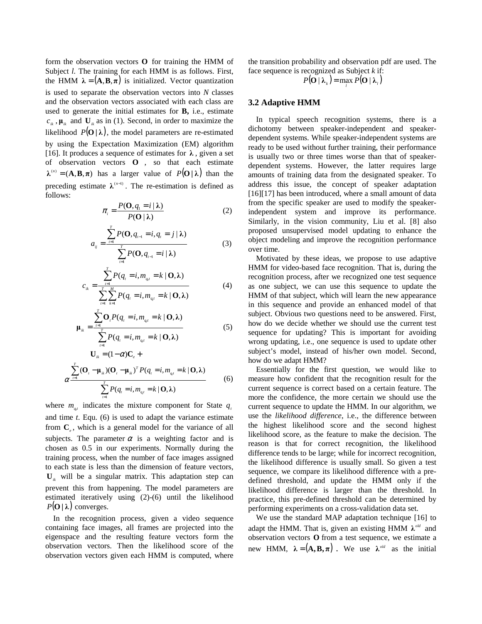form the observation vectors **O** for training the HMM of Subject *l*. The training for each HMM is as follows. First, the HMM  $\lambda = (\mathbf{A}, \mathbf{B}, \pi)$  is initialized. Vector quantization is used to separate the observation vectors into *N* classes and the observation vectors associated with each class are used to generate the initial estimates for **B,** i.e., estimate  $c_{ik}$ ,  $\mu_{ik}$  and  $\mathbf{U}_{ik}$  as in (1). Second, in order to maximize the likelihood  $P(\mathbf{O} | \lambda)$ , the model parameters are re-estimated by using the Expectation Maximization (EM) algorithm [16]. It produces a sequence of estimates for  $\lambda$ , given a set of observation vectors **O** , so that each estimate  $\lambda^{(n)} = (\mathbf{A}, \mathbf{B}, \pi)$  has a larger value of  $P(\mathbf{O} | \lambda)$  than the preceding estimate  $\lambda^{(n-1)}$ . The re-estimation is defined as follows:

$$
\pi_i = \frac{P(\mathbf{O}, q_i = i | \lambda)}{P(\mathbf{O} | \lambda)} \tag{2}
$$

$$
a_{ij} = \frac{\sum_{i=1}^{T} P(\mathbf{O}, q_{i-1} = i, q_i = j | \lambda)}{\sum_{i=1}^{T} P(\mathbf{O}, q_{i-1} = i | \lambda)}
$$
(3)

$$
c_{ik} = \frac{\sum_{t=1}^{T} P(q_t = i, m_{q,t} = k | \mathbf{O}, \lambda)}{\sum_{t=1}^{T} \sum_{k=1}^{M} P(q_t = i, m_{q,t} = k | \mathbf{O}, \lambda)}
$$
(4)

$$
\mathbf{\mu}_{ik} = \frac{\sum_{i=1}^{T} \mathbf{O}_{i} P(q_{i} = i, m_{q,i} = k \mid \mathbf{O}, \lambda)}{\sum_{i=1}^{T} P(q_{i} = i, m_{q,i} = k \mid \mathbf{O}, \lambda)}
$$
(5)  

$$
\mathbf{U}_{ik} = (1 - \alpha) \mathbf{C}_{e} + \sum_{i=1}^{T} (\mathbf{O}_{i} - \mathbf{\mu}_{ik}) (\mathbf{O}_{i} - \mathbf{\mu}_{ik})^{T} P(q_{i} = i, m_{q,i} = k \mid \mathbf{O}, \lambda)
$$
(6)

where 
$$
m_{q_i}
$$
 indicates the mixture component for State  $q_i$   
and time t. Equ. (6) is used to adapt the variance estimate  
from  $\mathbf{C}_e$ , which is a general model for the variance of all  
subjects. The parameter  $\alpha$  is a weighting factor and is  
chosen as 0.5 in our experiments. Normally during the  
training process, when the number of face images assigned  
to each state is less than the dimension of feature vectors,  
 $\mathbf{U}_u$  will be a singular matrix. This adaptation step can  
prevent this from happening. The model parameters are  
estimated iteratively using (2)-(6) until the likelihood  
 $P(\mathbf{O}|\lambda)$  converges.

 $P(q_i = i, m_{q_i} = k | \mathbf{O}, \lambda)$ 

 $\sum^{T} P(q_{i} = i, m_{q_{i}})$ 

 In the recognition process, given a video sequence containing face images, all frames are projected into the eigenspace and the resulting feature vectors form the observation vectors. Then the likelihood score of the observation vectors given each HMM is computed, where

the transition probability and observation pdf are used. The face sequence is recognized as Subject *k* if:

 $P(\mathbf{O} | \lambda_{k}) = \max_{l} P(\mathbf{O} | \lambda_{l})$ 

#### **3.2 Adaptive HMM**

 In typical speech recognition systems, there is a dichotomy between speaker-independent and speakerdependent systems. While speaker-independent systems are ready to be used without further training, their performance is usually two or three times worse than that of speakerdependent systems. However, the latter requires large amounts of training data from the designated speaker. To address this issue, the concept of speaker adaptation [16][17] has been introduced, where a small amount of data from the specific speaker are used to modify the speakerindependent system and improve its performance. Similarly, in the vision community, Liu et al. [8] also proposed unsupervised model updating to enhance the object modeling and improve the recognition performance over time.

 Motivated by these ideas, we propose to use adaptive HMM for video-based face recognition. That is, during the recognition process, after we recognized one test sequence as one subject, we can use this sequence to update the HMM of that subject, which will learn the new appearance in this sequence and provide an enhanced model of that subject. Obvious two questions need to be answered. First, how do we decide whether we should use the current test sequence for updating? This is important for avoiding wrong updating, i.e., one sequence is used to update other subject's model, instead of his/her own model. Second, how do we adapt HMM?

 Essentially for the first question, we would like to measure how confident that the recognition result for the current sequence is correct based on a certain feature. The more the confidence, the more certain we should use the current sequence to update the HMM. In our algorithm, we use the *likelihood difference*, i.e., the difference between the highest likelihood score and the second highest likelihood score, as the feature to make the decision. The reason is that for correct recognition, the likelihood difference tends to be large; while for incorrect recognition, the likelihood difference is usually small. So given a test sequence, we compare its likelihood difference with a predefined threshold, and update the HMM only if the likelihood difference is larger than the threshold. In practice, this pre-defined threshold can be determined by performing experiments on a cross-validation data set.

 We use the standard MAP adaptation technique [16] to adapt the HMM. That is, given an existing HMM  $\lambda^{old}$  and observation vectors **O** from a test sequence, we estimate a new HMM,  $\lambda = (A, B, \pi)$ . We use  $\lambda^{old}$  as the initial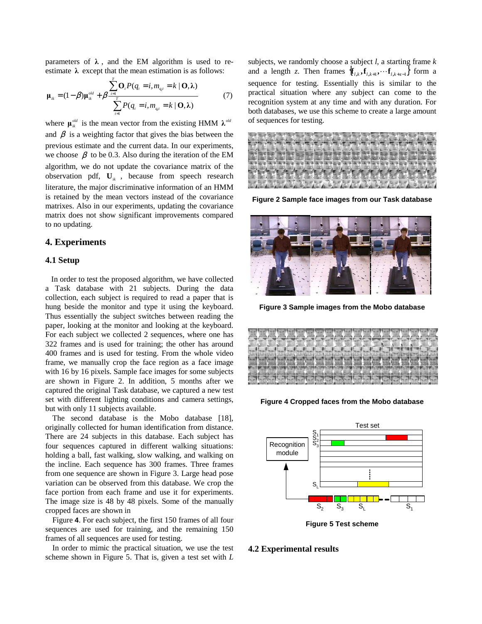parameters of  $\lambda$ , and the EM algorithm is used to reestimate  $\lambda$  except that the mean estimation is as follows:

$$
\mathbf{\mu}_{ik} = (1 - \beta) \mathbf{\mu}_{ik}^{\text{old}} + \beta \frac{\sum_{i=1}^{I} \mathbf{O}_{i} P(q_{i} = i, m_{q_{i}i} = k \mid \mathbf{O}, \lambda)}{\sum_{i=1}^{T} P(q_{i} = i, m_{q_{i}i} = k \mid \mathbf{O}, \lambda)}
$$
(7)

where  $\boldsymbol{\mu}_{ik}^{old}$  is the mean vector from the existing HMM  $\boldsymbol{\lambda}^{old}$ and  $\beta$  is a weighting factor that gives the bias between the previous estimate and the current data. In our experiments, we choose  $\beta$  to be 0.3. Also during the iteration of the EM algorithm, we do not update the covariance matrix of the observation pdf,  $\mathbf{U}_i$ , because from speech research literature, the major discriminative information of an HMM is retained by the mean vectors instead of the covariance matrixes. Also in our experiments, updating the covariance matrix does not show significant improvements compared to no updating.

## **4. Experiments**

## **4.1 Setup**

 In order to test the proposed algorithm, we have collected a Task database with 21 subjects. During the data collection, each subject is required to read a paper that is hung beside the monitor and type it using the keyboard. Thus essentially the subject switches between reading the paper, looking at the monitor and looking at the keyboard. For each subject we collected 2 sequences, where one has 322 frames and is used for training; the other has around 400 frames and is used for testing. From the whole video frame, we manually crop the face region as a face image with 16 by 16 pixels. Sample face images for some subjects are shown in Figure 2. In addition, 5 months after we captured the original Task database, we captured a new test set with different lighting conditions and camera settings, but with only 11 subjects available.

The second database is the Mobo database [18], originally collected for human identification from distance. There are 24 subjects in this database. Each subject has four sequences captured in different walking situations: holding a ball, fast walking, slow walking, and walking on the incline. Each sequence has 300 frames. Three frames from one sequence are shown in Figure 3. Large head pose variation can be observed from this database. We crop the face portion from each frame and use it for experiments. The image size is 48 by 48 pixels. Some of the manually cropped faces are shown in

Figure **4**. For each subject, the first 150 frames of all four sequences are used for training, and the remaining 150 frames of all sequences are used for testing.

In order to mimic the practical situation, we use the test scheme shown in Figure 5. That is, given a test set with *L* 

subjects, we randomly choose a subject *l*, a starting frame *k* and a length *z*. Then frames  ${\mathbf{f}}_{l,k}$ ,  ${\mathbf{f}}_{l,k+1}$ ,  $\cdots$   ${\mathbf{f}}_{l,k+7-1}$  form a sequence for testing. Essentially this is similar to the practical situation where any subject can come to the recognition system at any time and with any duration. For both databases, we use this scheme to create a large amount of sequences for testing.



**Figure 2 Sample face images from our Task database**



**Figure 3 Sample images from the Mobo database** 

|                 |  |  |                    |  |  | $\mathbf{L}$ | $\overline{\phantom{a}}$ | L.   |           |  |  |  |
|-----------------|--|--|--------------------|--|--|--------------|--------------------------|------|-----------|--|--|--|
|                 |  |  |                    |  |  |              |                          |      |           |  |  |  |
|                 |  |  |                    |  |  |              |                          |      |           |  |  |  |
|                 |  |  |                    |  |  |              |                          |      |           |  |  |  |
| <b>POPISION</b> |  |  | <b>Called Call</b> |  |  | 2.50         |                          | VS 2 | $\sim$ 25 |  |  |  |
|                 |  |  |                    |  |  |              |                          |      |           |  |  |  |
|                 |  |  |                    |  |  |              |                          |      |           |  |  |  |
|                 |  |  |                    |  |  |              |                          |      |           |  |  |  |

**Figure 4 Cropped faces from the Mobo database**



**Figure 5 Test scheme** 

#### **4.2 Experimental results**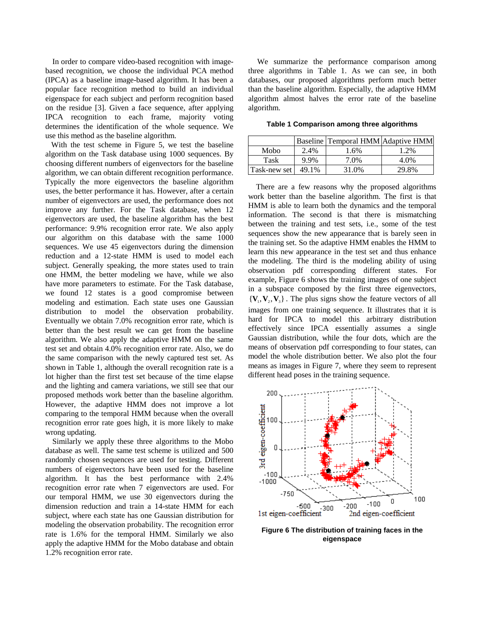In order to compare video-based recognition with imagebased recognition, we choose the individual PCA method (IPCA) as a baseline image-based algorithm. It has been a popular face recognition method to build an individual eigenspace for each subject and perform recognition based on the residue [3]. Given a face sequence, after applying IPCA recognition to each frame, majority voting determines the identification of the whole sequence. We use this method as the baseline algorithm.

 With the test scheme in Figure 5, we test the baseline algorithm on the Task database using 1000 sequences. By choosing different numbers of eigenvectors for the baseline algorithm, we can obtain different recognition performance. Typically the more eigenvectors the baseline algorithm uses, the better performance it has. However, after a certain number of eigenvectors are used, the performance does not improve any further. For the Task database, when 12 eigenvectors are used, the baseline algorithm has the best performance: 9.9% recognition error rate. We also apply our algorithm on this database with the same 1000 sequences. We use 45 eigenvectors during the dimension reduction and a 12-state HMM is used to model each subject. Generally speaking, the more states used to train one HMM, the better modeling we have, while we also have more parameters to estimate. For the Task database, we found 12 states is a good compromise between modeling and estimation. Each state uses one Gaussian distribution to model the observation probability. Eventually we obtain 7.0% recognition error rate, which is better than the best result we can get from the baseline algorithm. We also apply the adaptive HMM on the same test set and obtain 4.0% recognition error rate. Also, we do the same comparison with the newly captured test set. As shown in Table 1, although the overall recognition rate is a lot higher than the first test set because of the time elapse and the lighting and camera variations, we still see that our proposed methods work better than the baseline algorithm. However, the adaptive HMM does not improve a lot comparing to the temporal HMM because when the overall recognition error rate goes high, it is more likely to make wrong updating.

Similarly we apply these three algorithms to the Mobo database as well. The same test scheme is utilized and 500 randomly chosen sequences are used for testing. Different numbers of eigenvectors have been used for the baseline algorithm. It has the best performance with 2.4% recognition error rate when 7 eigenvectors are used. For our temporal HMM, we use 30 eigenvectors during the dimension reduction and train a 14-state HMM for each subject, where each state has one Gaussian distribution for modeling the observation probability. The recognition error rate is 1.6% for the temporal HMM. Similarly we also apply the adaptive HMM for the Mobo database and obtain 1.2% recognition error rate.

 We summarize the performance comparison among three algorithms in Table 1. As we can see, in both databases, our proposed algorithms perform much better than the baseline algorithm. Especially, the adaptive HMM algorithm almost halves the error rate of the baseline algorithm.

**Table 1 Comparison among three algorithms** 

|              |       | Baseline Temporal HMM Adaptive HMM |       |
|--------------|-------|------------------------------------|-------|
| Mobo         | 2.4%  | 1.6%                               | 1.2%  |
| Task         | 9.9%  | 7.0%                               | 4.0%  |
| Task-new set | 49.1% | 31.0%                              | 29.8% |

 There are a few reasons why the proposed algorithms work better than the baseline algorithm. The first is that HMM is able to learn both the dynamics and the temporal information. The second is that there is mismatching between the training and test sets, i.e., some of the test sequences show the new appearance that is barely seen in the training set. So the adaptive HMM enables the HMM to learn this new appearance in the test set and thus enhance the modeling. The third is the modeling ability of using observation pdf corresponding different states. For example, Figure 6 shows the training images of one subject in a subspace composed by the first three eigenvectors,  $\{V_1, V_2, V_3\}$ . The plus signs show the feature vectors of all images from one training sequence. It illustrates that it is hard for IPCA to model this arbitrary distribution effectively since IPCA essentially assumes a single Gaussian distribution, while the four dots, which are the means of observation pdf corresponding to four states, can model the whole distribution better. We also plot the four means as images in Figure 7, where they seem to represent different head poses in the training sequence.



**Figure 6 The distribution of training faces in the eigenspace**